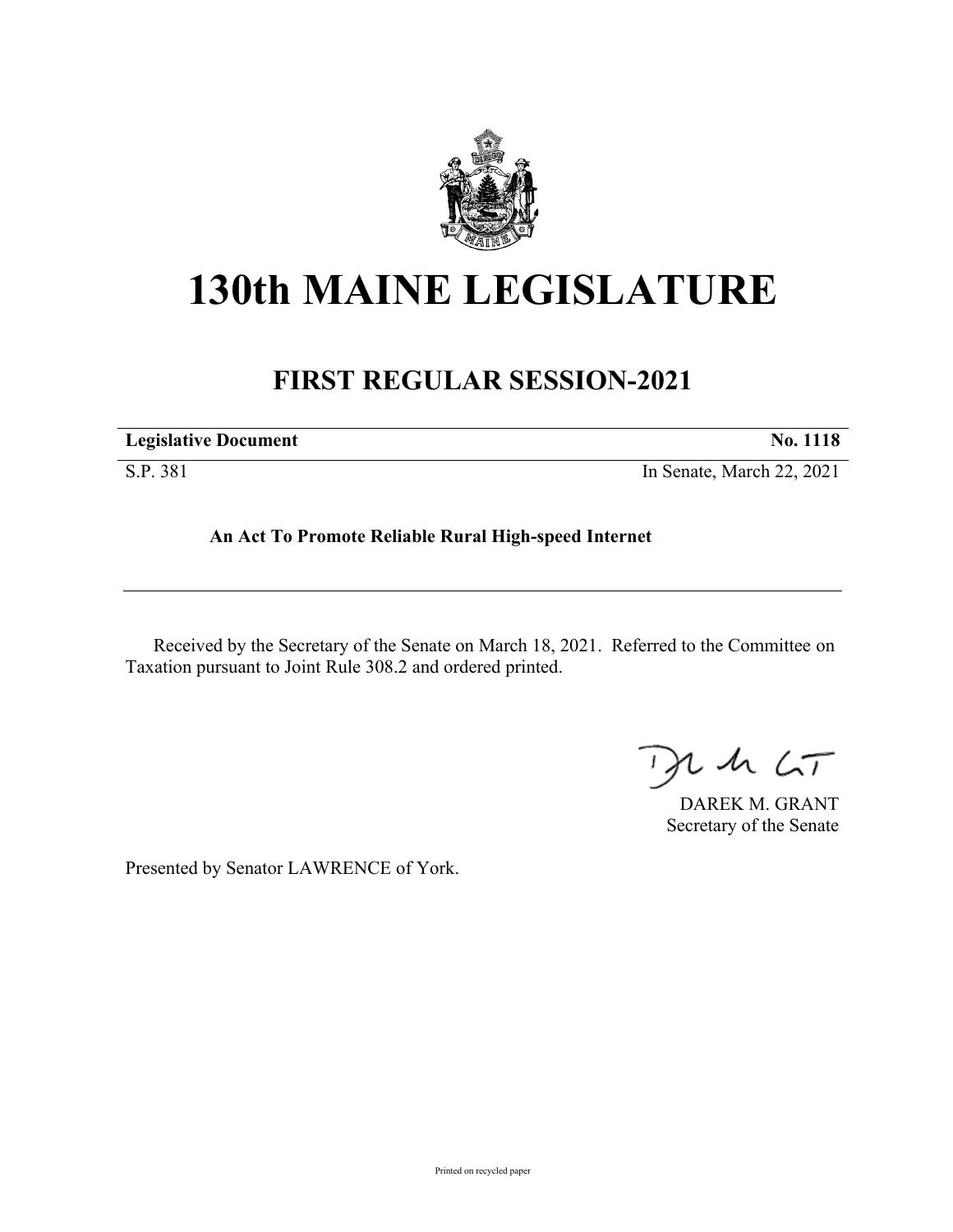

## **130th MAINE LEGISLATURE**

## **FIRST REGULAR SESSION-2021**

| <b>Legislative Document</b> | <b>No. 1118</b>           |
|-----------------------------|---------------------------|
| S.P. 381                    | In Senate, March 22, 2021 |

## **An Act To Promote Reliable Rural High-speed Internet**

Received by the Secretary of the Senate on March 18, 2021. Referred to the Committee on Taxation pursuant to Joint Rule 308.2 and ordered printed.

 $125$ 

DAREK M. GRANT Secretary of the Senate

Presented by Senator LAWRENCE of York.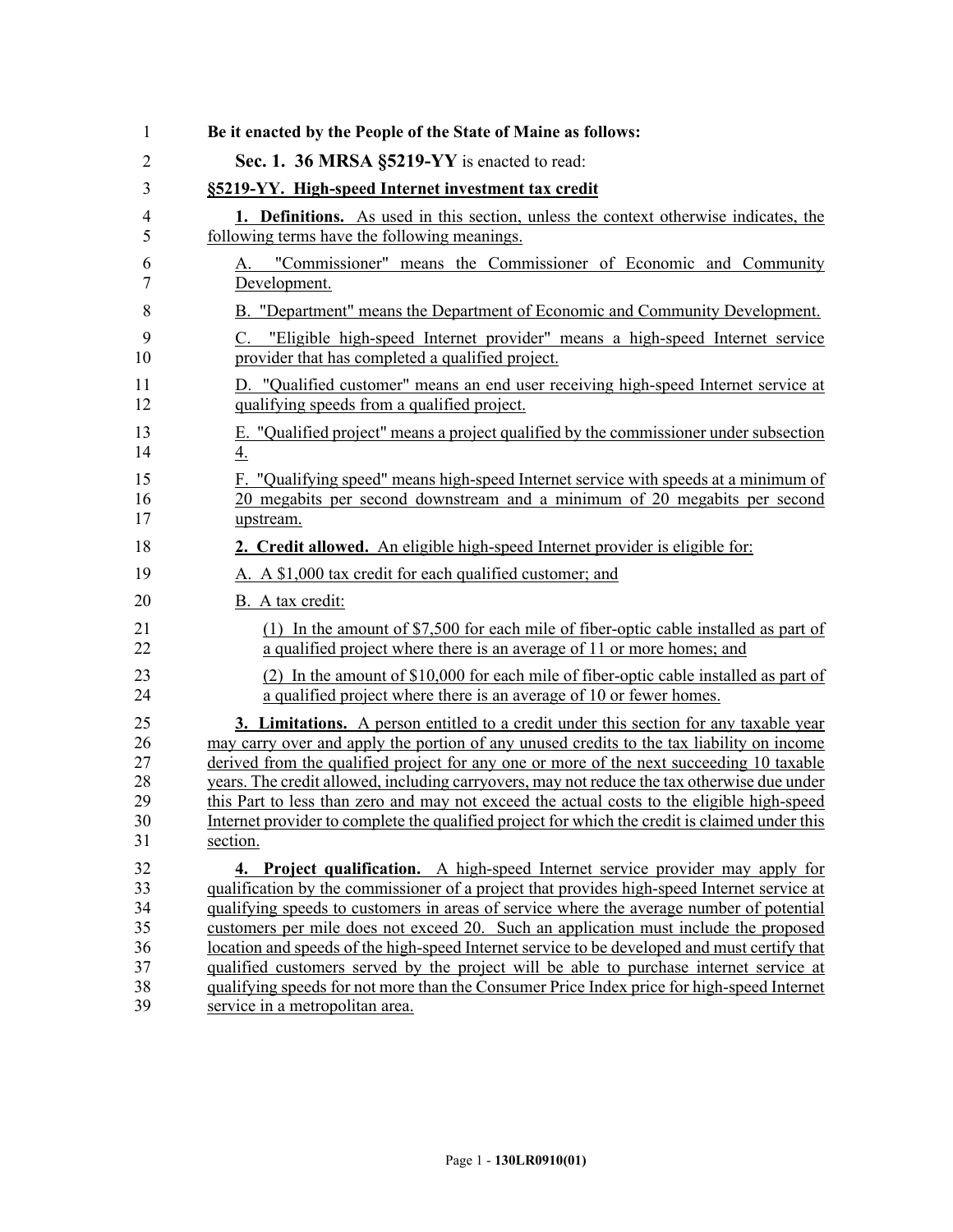| 1              | Be it enacted by the People of the State of Maine as follows:                                                                                                                    |
|----------------|----------------------------------------------------------------------------------------------------------------------------------------------------------------------------------|
| $\overline{2}$ | Sec. 1. 36 MRSA §5219-YY is enacted to read:                                                                                                                                     |
| 3              | §5219-YY. High-speed Internet investment tax credit                                                                                                                              |
| 4              | <b>1. Definitions.</b> As used in this section, unless the context otherwise indicates, the                                                                                      |
| 5              | following terms have the following meanings.                                                                                                                                     |
| 6              | A. "Commissioner" means the Commissioner of Economic and Community                                                                                                               |
| 7              | Development.                                                                                                                                                                     |
| 8              | B. "Department" means the Department of Economic and Community Development.                                                                                                      |
| 9              | C. "Eligible high-speed Internet provider" means a high-speed Internet service                                                                                                   |
| 10             | provider that has completed a qualified project.                                                                                                                                 |
| 11             | D. "Qualified customer" means an end user receiving high-speed Internet service at                                                                                               |
| 12             | qualifying speeds from a qualified project.                                                                                                                                      |
| 13             | E. "Qualified project" means a project qualified by the commissioner under subsection                                                                                            |
| 14             | $\overline{4}$ .                                                                                                                                                                 |
| 15<br>16<br>17 | "Qualifying speed" means high-speed Internet service with speeds at a minimum of<br>F.<br>20 megabits per second downstream and a minimum of 20 megabits per second<br>upstream. |
| 18             | 2. Credit allowed. An eligible high-speed Internet provider is eligible for:                                                                                                     |
| 19             | A. A \$1,000 tax credit for each qualified customer; and                                                                                                                         |
| 20             | B. A tax credit:                                                                                                                                                                 |
| 21             | (1) In the amount of \$7,500 for each mile of fiber-optic cable installed as part of                                                                                             |
| 22             | a qualified project where there is an average of 11 or more homes; and                                                                                                           |
| 23             | (2) In the amount of \$10,000 for each mile of fiber-optic cable installed as part of                                                                                            |
| 24             | a qualified project where there is an average of 10 or fewer homes.                                                                                                              |
| 25             | <b>3. Limitations.</b> A person entitled to a credit under this section for any taxable year                                                                                     |
| 26             | may carry over and apply the portion of any unused credits to the tax liability on income                                                                                        |
| 27             | derived from the qualified project for any one or more of the next succeeding 10 taxable                                                                                         |
| 28             | years. The credit allowed, including carryovers, may not reduce the tax otherwise due under                                                                                      |
| 29             | this Part to less than zero and may not exceed the actual costs to the eligible high-speed                                                                                       |
| 30             | Internet provider to complete the qualified project for which the credit is claimed under this                                                                                   |
| 31             | section.                                                                                                                                                                         |
| 32             | 4. Project qualification. A high-speed Internet service provider may apply for                                                                                                   |
| 33             | qualification by the commissioner of a project that provides high-speed Internet service at                                                                                      |
| 34             | qualifying speeds to customers in areas of service where the average number of potential                                                                                         |
| 35             | customers per mile does not exceed 20. Such an application must include the proposed                                                                                             |
| 36             | location and speeds of the high-speed Internet service to be developed and must certify that                                                                                     |
| 37             | qualified customers served by the project will be able to purchase internet service at                                                                                           |
| 38             | qualifying speeds for not more than the Consumer Price Index price for high-speed Internet                                                                                       |
| 39             | service in a metropolitan area.                                                                                                                                                  |